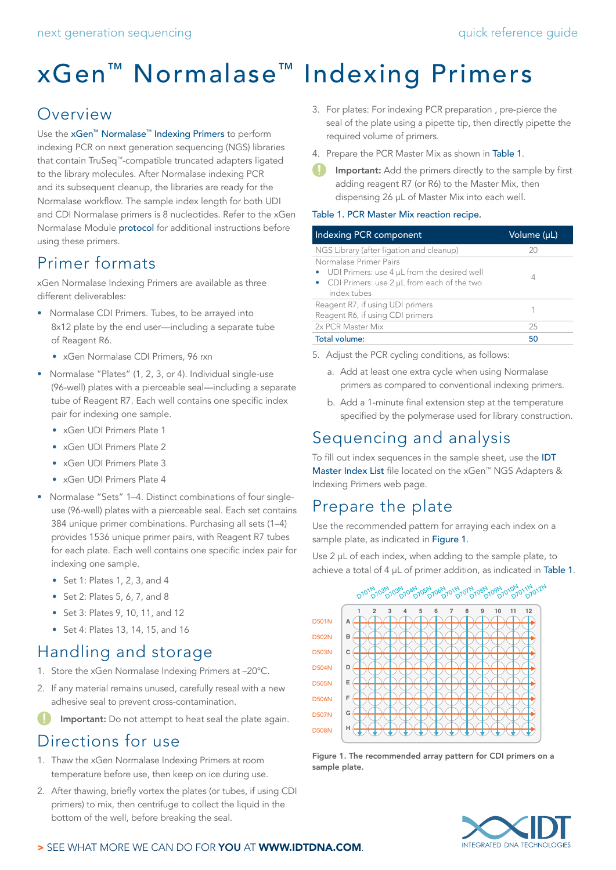# xGen™ Normalase™ Indexing Primers

# Overview

Use the [xGen™ Normalase™ Indexing Primers](https://www.idtdna.com/pages/products/next-generation-sequencing/workflow/xgen-ngs-library-preparation/ngs-adapters-indexing-primers) to perform indexing PCR on next generation sequencing (NGS) libraries that contain TruSeq™-compatible truncated adapters ligated to the library molecules. After Normalase indexing PCR and its subsequent cleanup, the libraries are ready for the Normalase workflow. The sample index length for both UDI and CDI Normalase primers is 8 nucleotides. Refer to the xGen Normalase Module [protocol](https://www.idtdna.com/pages/products/next-generation-sequencing/workflow/xgen-ngs-normalase#resources) for additional instructions before using these primers.

# Primer formats

xGen Normalase Indexing Primers are available as three different deliverables:

- Normalase CDI Primers. Tubes, to be arrayed into 8x12 plate by the end user—including a separate tube of Reagent R6.
	- xGen Normalase CDI Primers, 96 rxn
- Normalase "Plates" (1, 2, 3, or 4). Individual single-use (96-well) plates with a pierceable seal—including a separate tube of Reagent R7. Each well contains one specific index pair for indexing one sample.
	- xGen UDI Primers Plate 1
	- xGen UDI Primers Plate 2
	- xGen UDI Primers Plate 3
	- xGen UDI Primers Plate 4
- Normalase "Sets" 1–4. Distinct combinations of four singleuse (96-well) plates with a pierceable seal. Each set contains 384 unique primer combinations. Purchasing all sets (1–4) provides 1536 unique primer pairs, with Reagent R7 tubes for each plate. Each well contains one specific index pair for indexing one sample.
	- Set 1: Plates 1, 2, 3, and 4
	- Set 2: Plates 5, 6, 7, and 8
	- Set 3: Plates 9, 10, 11, and 12
	- Set 4: Plates 13, 14, 15, and 16

# Handling and storage

- 1. Store the xGen Normalase Indexing Primers at –20°C.
- 2. If any material remains unused, carefully reseal with a new adhesive seal to prevent cross-contamination.

Important: Do not attempt to heat seal the plate again.

### Directions for use

- 1. Thaw the xGen Normalase Indexing Primers at room temperature before use, then keep on ice during use.
- 2. After thawing, briefly vortex the plates (or tubes, if using CDI primers) to mix, then centrifuge to collect the liquid in the bottom of the well, before breaking the seal.
- 3. For plates: For indexing PCR preparation , pre-pierce the seal of the plate using a pipette tip, then directly pipette the required volume of primers.
- 4. Prepare the PCR Master Mix as shown in Table 1.
- Important: Add the primers directly to the sample by first adding reagent R7 (or R6) to the Master Mix, then dispensing 26 µL of Master Mix into each well.

#### <span id="page-0-0"></span>Table 1. PCR Master Mix reaction recipe.

| Indexing PCR component                                                                                                             | Volume (µL) |  |  |
|------------------------------------------------------------------------------------------------------------------------------------|-------------|--|--|
| NGS Library (after ligation and cleanup)                                                                                           | 20          |  |  |
| Normalase Primer Pairs<br>UDI Primers: use 4 µL from the desired well<br>CDI Primers: use 2 µL from each of the two<br>index tubes |             |  |  |
| Reagent R7, if using UDI primers<br>Reagent R6, if using CDI primers                                                               |             |  |  |
| 2x PCR Master Mix                                                                                                                  | 25          |  |  |
| Total volume:                                                                                                                      | 50          |  |  |

- 5. Adjust the PCR cycling conditions, as follows:
	- a. Add at least one extra cycle when using Normalase primers as compared to conventional indexing primers.
	- b. Add a 1-minute final extension step at the temperature specified by the polymerase used for library construction.

## Sequencing and analysis

To fill out index sequences in the sample sheet, use the **IDT** [Master Index List](https://sfvideo.blob.core.windows.net/sitefinity/docs/default-source/supplementary-product-info/idt-master-index-list.xlsx?sfvrsn=8df8e307_4) file located on the xGen™ NGS Adapters & Indexing Primers web page.

## Prepare the plate

Use the recommended pattern for arraying each index on a sample plate, as indicated in Figure 1.

Use 2 µL of each index, when adding to the sample plate, to achieve a total of 4  $\mu$ L of primer addition, as indicated in [Table 1](#page-0-0).



Figure 1. The recommended array pattern for CDI primers on a sample plate.



#### > SEE WHAT MORE WE CAN DO FOR YOU AT WWW.IDTDNA.COM.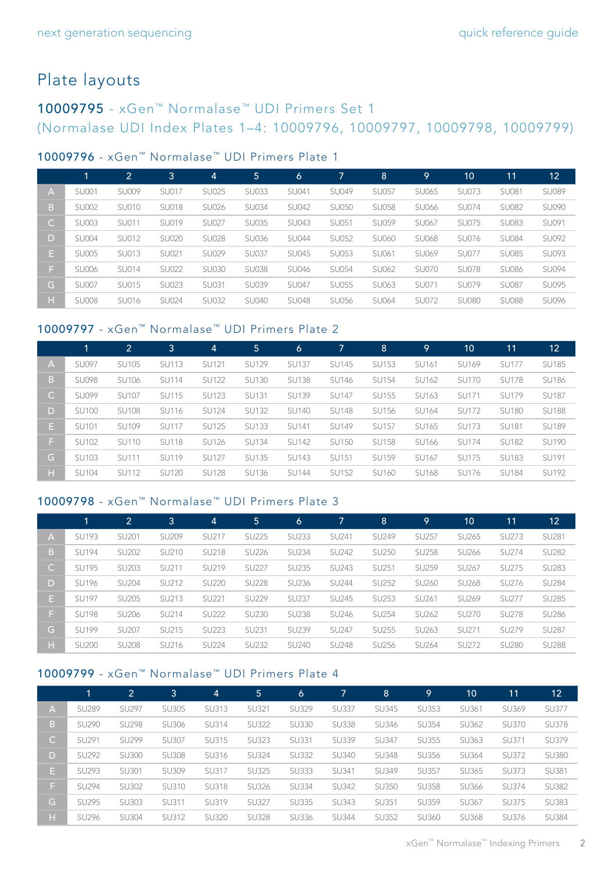# Plate layouts

### 10009795 - xGen™ Normalase™ UDI Primers Set 1 (Normalase UDI Index Plates 1–4: 10009796, 10009797, 10009798, 10009799)

#### [10009796](https://www.idtdna.com/site/order/stock/partnbr/10009796) - xGen™ Normalase™ UDI Primers Plate 1

|              | 4            | $\overline{2}$ | 3            | $\overline{4}$ | 5.           | 6            | 7            | $\overline{8}$ | 9            | 10           | 11           | 12           |
|--------------|--------------|----------------|--------------|----------------|--------------|--------------|--------------|----------------|--------------|--------------|--------------|--------------|
| A            | <b>SU001</b> | <b>SU009</b>   | SU017        | <b>SU025</b>   | <b>SU033</b> | SU041        | SU049        | <b>SU057</b>   | SU065        | <b>SU073</b> | <b>SU081</b> | <b>SU089</b> |
| B.           | <b>SU002</b> | <b>SU010</b>   | <b>SU018</b> | <b>SU026</b>   | <b>SU034</b> | <b>SU042</b> | <b>SU050</b> | <b>SU058</b>   | <b>SU066</b> | <b>SU074</b> | <b>SU082</b> | <b>SU090</b> |
| $\mathsf{C}$ | <b>SU003</b> | SU011          | SU019        | <b>SU027</b>   | <b>SU035</b> | SU043        | SU051        | SU059          | SU067        | <b>SU075</b> | <b>SU083</b> | SU091        |
| D            | <b>SU004</b> | SU012          | <b>SU020</b> | <b>SU028</b>   | <b>SU036</b> | <b>SU044</b> | <b>SU052</b> | <b>SU060</b>   | <b>SU068</b> | <b>SU076</b> | <b>SU084</b> | SU092        |
| Е.           | <b>SU005</b> | SU013          | SU021        | <b>SU029</b>   | <b>SU037</b> | SU045        | <b>SU053</b> | SU061          | SU069        | <b>SU077</b> | <b>SU085</b> | SU093        |
| F.           | <b>SU006</b> | <b>SU014</b>   | <b>SU022</b> | <b>SU030</b>   | <b>SU038</b> | <b>SU046</b> | <b>SU054</b> | SU062          | <b>SU070</b> | <b>SU078</b> | <b>SU086</b> | <b>SU094</b> |
| G            | <b>SU007</b> | SU015          | <b>SU023</b> | SU031          | <b>SU039</b> | <b>SU047</b> | <b>SU055</b> | SU063          | SU071        | <b>SU079</b> | <b>SU087</b> | <b>SU095</b> |
| н            | <b>SU008</b> | SU016          | <b>SU024</b> | <b>SU032</b>   | <b>SU040</b> | <b>SU048</b> | <b>SU056</b> | SU064          | <b>SU072</b> | <b>SU080</b> | <b>SU088</b> | <b>SU096</b> |

#### [10009797](https://www.idtdna.com/site/order/stock/partnbr/10009797) - xGen™ Normalase™ UDI Primers Plate 2

|              | 1            | 2            | 3            | $\overline{4}$ | 5            | 6            | 7.           | 8            | <u> 19</u>   | 10           | 11           | 12           |
|--------------|--------------|--------------|--------------|----------------|--------------|--------------|--------------|--------------|--------------|--------------|--------------|--------------|
| A            | <b>SU097</b> | <b>SU105</b> | <b>SU113</b> | SU121          | <b>SU129</b> | <b>SU137</b> | <b>SU145</b> | <b>SU153</b> | SU161        | SU169        | <b>SU177</b> | <b>SU185</b> |
| B            | <b>SU098</b> | SU106        | <b>SU114</b> | <b>SU122</b>   | <b>SU130</b> | <b>SU138</b> | SU146        | <b>SU154</b> | SU162        | <b>SU170</b> | <b>SU178</b> | <b>SU186</b> |
| $\mathsf{C}$ | <b>SU099</b> | <b>SU107</b> | <b>SU115</b> | <b>SU123</b>   | SU131        | SU139        | <b>SU147</b> | SU155        | SU163        | SU171        | <b>SU179</b> | <b>SU187</b> |
| D            | <b>SU100</b> | <b>SU108</b> | SU116        | <b>SU124</b>   | <b>SU132</b> | <b>SU140</b> | <b>SU148</b> | SU156        | SU164        | <b>SU172</b> | <b>SU180</b> | <b>SU188</b> |
| Е.           | SU101        | SU109        | <b>SU117</b> | <b>SU125</b>   | <b>SU133</b> | <b>SU141</b> | SU149        | SU157        | SU165        | <b>SU173</b> | <b>SU181</b> | <b>SU189</b> |
| F.           | <b>SU102</b> | SU110        | <b>SU118</b> | <b>SU126</b>   | <b>SU134</b> | <b>SU142</b> | <b>SU150</b> | <b>SU158</b> | SU166        | <b>SU174</b> | <b>SU182</b> | <b>SU190</b> |
| G.           | <b>SU103</b> | <b>SU111</b> | <b>SU119</b> | <b>SU127</b>   | <b>SU135</b> | <b>SU143</b> | SU151        | SU159        | SU167        | <b>SU175</b> | <b>SU183</b> | SU191        |
| н            | <b>SU104</b> | SU112        | <b>SU120</b> | <b>SU128</b>   | SU136        | <b>SU144</b> | SU152        | SU160        | <b>SU168</b> | <b>SU176</b> | <b>SU184</b> | SU192        |

#### [10009798](https://www.idtdna.com/site/order/stock/partnbr/10009798) - xGen™ Normalase™ UDI Primers Plate 3

|              |              | 2            | 3            | $\vert 4 \vert$ | 5            | 6            | 7            | 8            | 9                 | 10                | 11           | 12           |
|--------------|--------------|--------------|--------------|-----------------|--------------|--------------|--------------|--------------|-------------------|-------------------|--------------|--------------|
| A            | <b>SU193</b> | SU201        | <b>SU209</b> | SU217           | <b>SU225</b> | <b>SU233</b> | SU241        | SU249        | SU257             | SU265             | <b>SU273</b> | SU281        |
| B.           | <b>SU194</b> | <b>SU202</b> | SU210        | SU218           | <b>SU226</b> | <b>SU234</b> | <b>SU242</b> | <b>SU250</b> | <b>SU258</b>      | SU <sub>266</sub> | <b>SU274</b> | <b>SU282</b> |
| $\mathsf{C}$ | <b>SU195</b> | <b>SU203</b> | SU211        | SU219           | <b>SU227</b> | <b>SU235</b> | <b>SU243</b> | SU251        | SU259             | SU <sub>267</sub> | <b>SU275</b> | <b>SU283</b> |
| D            | <b>SU196</b> | <b>SU204</b> | SU212        | <b>SU220</b>    | <b>SU228</b> | SU236        | <b>SU244</b> | <b>SU252</b> | <b>SU260</b>      | <b>SU268</b>      | SU276        | <b>SU284</b> |
| E.           | <b>SU197</b> | <b>SU205</b> | SU213        | SU221           | <b>SU229</b> | <b>SU237</b> | <b>SU245</b> | <b>SU253</b> | SU <sub>261</sub> | SU <sub>269</sub> | <b>SU277</b> | <b>SU285</b> |
| F.           | <b>SU198</b> | <b>SU206</b> | SU214        | <b>SU222</b>    | <b>SU230</b> | <b>SU238</b> | <b>SU246</b> | <b>SU254</b> | SU262             | <b>SU270</b>      | <b>SU278</b> | <b>SU286</b> |
| G.           | <b>SU199</b> | <b>SU207</b> | SU215        | <b>SU223</b>    | <b>SU231</b> | <b>SU239</b> | <b>SU247</b> | <b>SU255</b> | SU <sub>263</sub> | SU271             | <b>SU279</b> | <b>SU287</b> |
| н            | <b>SU200</b> | <b>SU208</b> | SU216        | <b>SU224</b>    | <b>SU232</b> | <b>SU240</b> | <b>SU248</b> | SU256        | SU264             | SU272             | <b>SU280</b> | <b>SU288</b> |

#### [10009799](https://www.idtdna.com/site/order/stock/partnbr/10009799) - xGen™ Normalase™ UDI Primers Plate 4

|              | 1            | 2            | 3            | 4            | 5            | 6            | 7            | 8            | 9            | 10 <sup>°</sup> | 11           | 12           |
|--------------|--------------|--------------|--------------|--------------|--------------|--------------|--------------|--------------|--------------|-----------------|--------------|--------------|
| A            | <b>SU289</b> | <b>SU297</b> | <b>SU305</b> | SU313        | SU321        | <b>SU329</b> | <b>SU337</b> | <b>SU345</b> | <b>SU353</b> | SU361           | SU369        | <b>SU377</b> |
| B            | <b>SU290</b> | <b>SU298</b> | SU306        | SU314        | <b>SU322</b> | <b>SU330</b> | <b>SU338</b> | SU346        | <b>SU354</b> | SU362           | <b>SU370</b> | <b>SU378</b> |
| $\mathsf{C}$ | SU291        | <b>SU299</b> | <b>SU307</b> | SU315        | <b>SU323</b> | SU331        | <b>SU339</b> | SU347        | SU355        | SU363           | SU371        | SU379        |
| D            | <b>SU292</b> | <b>SU300</b> | <b>SU308</b> | SU316        | <b>SU324</b> | <b>SU332</b> | <b>SU340</b> | <b>SU348</b> | <b>SU356</b> | SU364           | SU372        | <b>SU380</b> |
| E.           | SU293        | SU301        | SU309        | SU317        | <b>SU325</b> | <b>SU333</b> | SU341        | SU349        | <b>SU357</b> | SU365           | <b>SU373</b> | <b>SU381</b> |
| F.           | <b>SU294</b> | <b>SU302</b> | SU310        | <b>SU318</b> | <b>SU326</b> | <b>SU334</b> | <b>SU342</b> | <b>SU350</b> | <b>SU358</b> | <b>SU366</b>    | SU374        | <b>SU382</b> |
| G.           | <b>SU295</b> | <b>SU303</b> | SU311        | SU319        | <b>SU327</b> | <b>SU335</b> | <b>SU343</b> | SU351        | <b>SU359</b> | SU367           | <b>SU375</b> | <b>SU383</b> |
| H.           | <b>SU296</b> | <b>SU304</b> | SU312        | <b>SU320</b> | <b>SU328</b> | <b>SU336</b> | <b>SU344</b> | <b>SU352</b> | SU360        | <b>SU368</b>    | SU376        | <b>SU384</b> |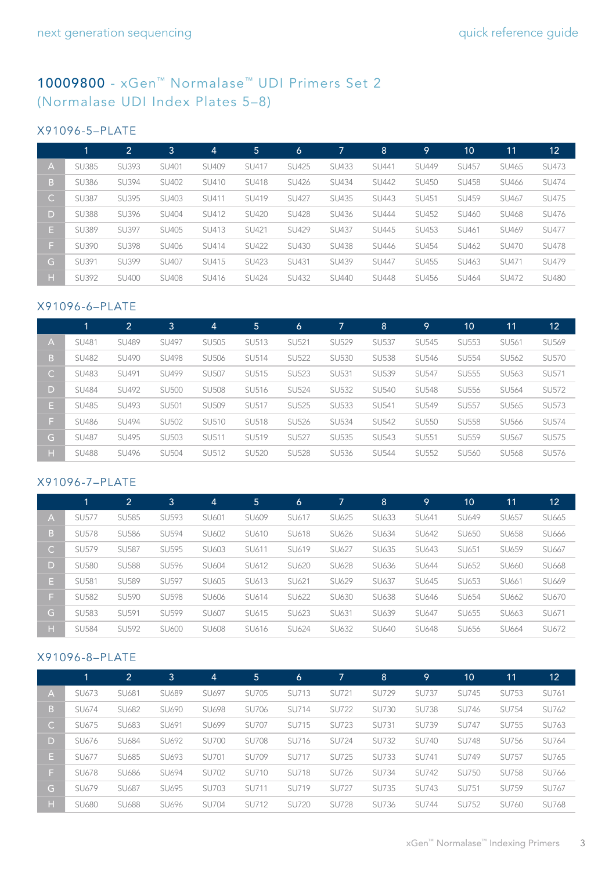### [10009800](https://www.idtdna.com/site/order/stock/partnbr/10009800) - xGen™ Normalase™ UDI Primers Set 2 (Normalase UDI Index Plates 5–8)

#### X91096-5–PLATE

|              |              | $\overline{2}$ | 3            | 4     | 5            | 6            | 7            | $\overline{8}$ | 9            | 10           | 11           | 12           |
|--------------|--------------|----------------|--------------|-------|--------------|--------------|--------------|----------------|--------------|--------------|--------------|--------------|
| A            | <b>SU385</b> | <b>SU393</b>   | SU401        | SU409 | SU417        | <b>SU425</b> | SU433        | SU441          | <b>SU449</b> | SU457        | SU465        | SU473        |
| B.           | <b>SU386</b> | <b>SU394</b>   | SU402        | SU410 | <b>SU418</b> | <b>SU426</b> | SU434        | <b>SU442</b>   | <b>SU450</b> | <b>SU458</b> | SU466        | SU474        |
| $\mathsf{C}$ | <b>SU387</b> | <b>SU395</b>   | SU403        | SU411 | SU419        | <b>SU427</b> | SU435        | <b>SU443</b>   | SU451        | SU459        | SU467        | SU475        |
| D            | <b>SU388</b> | <b>SU396</b>   | SU404        | SU412 | <b>SU420</b> | <b>SU428</b> | SU436        | <b>SU444</b>   | SU452        | SU460        | <b>SU468</b> | SU476        |
| E.           | <b>SU389</b> | <b>SU397</b>   | SU405        | SU413 | SU421        | <b>SU429</b> | <b>SU437</b> | <b>SU445</b>   | SU453        | SU461        | SU469        | <b>SU477</b> |
| F.           | <b>SU390</b> | <b>SU398</b>   | <b>SU406</b> | SU414 | <b>SU422</b> | SU430        | <b>SU438</b> | <b>SU446</b>   | SU454        | SU462        | <b>SU470</b> | <b>SU478</b> |
| G.           | SU391        | <b>SU399</b>   | <b>SU407</b> | SU415 | <b>SU423</b> | SU431        | SU439        | <b>SU447</b>   | <b>SU455</b> | SU463        | SU471        | SU479        |
| н            | <b>SU392</b> | <b>SU400</b>   | <b>SU408</b> | SU416 | <b>SU424</b> | SU432        | <b>SU440</b> | <b>SU448</b>   | SU456        | SU464        | SU472        | <b>SU480</b> |

#### X91096-6–PLATE

|              | 1            | $\overline{2}$ | 3            | 4            | 5            | 6            | 7            | 8            | 9            | 10           | 11                | $12 \overline{ }$ |
|--------------|--------------|----------------|--------------|--------------|--------------|--------------|--------------|--------------|--------------|--------------|-------------------|-------------------|
| A            | SU481        | <b>SU489</b>   | <b>SU497</b> | <b>SU505</b> | SU513        | SU521        | <b>SU529</b> | <b>SU537</b> | <b>SU545</b> | <b>SU553</b> | SU <sub>561</sub> | SU569             |
| B.           | <b>SU482</b> | <b>SU490</b>   | <b>SU498</b> | <b>SU506</b> | SU514        | <b>SU522</b> | <b>SU530</b> | <b>SU538</b> | SU546        | <b>SU554</b> | SU562             | <b>SU570</b>      |
| $\mathsf{C}$ | <b>SU483</b> | SU491          | <b>SU499</b> | <b>SU507</b> | SU515        | <b>SU523</b> | <b>SU531</b> | <b>SU539</b> | <b>SU547</b> | <b>SU555</b> | SU <sub>563</sub> | SU571             |
| D            | <b>SU484</b> | SU492          | <b>SU500</b> | <b>SU508</b> | SU516        | <b>SU524</b> | <b>SU532</b> | <b>SU540</b> | <b>SU548</b> | <b>SU556</b> | SU564             | <b>SU572</b>      |
| Е.           | <b>SU485</b> | SU493          | <b>SU501</b> | <b>SU509</b> | SU517        | <b>SU525</b> | <b>SU533</b> | SU541        | SU549        | <b>SU557</b> | SU565             | <b>SU573</b>      |
| F.           | <b>SU486</b> | SU494          | <b>SU502</b> | SU510        | <b>SU518</b> | <b>SU526</b> | <b>SU534</b> | <b>SU542</b> | <b>SU550</b> | <b>SU558</b> | <b>SU566</b>      | SU574             |
| G            | <b>SU487</b> | SU495          | <b>SU503</b> | SU511        | SU519        | <b>SU527</b> | <b>SU535</b> | <b>SU543</b> | SU551        | <b>SU559</b> | SU567             | <b>SU575</b>      |
| H.           | <b>SU488</b> | SU496          | <b>SU504</b> | <b>SU512</b> | <b>SU520</b> | <b>SU528</b> | <b>SU536</b> | <b>SU544</b> | <b>SU552</b> | <b>SU560</b> | <b>SU568</b>      | SU576             |

#### X91096-7–PLATE

|              | 1            | 2            | 3            | 4     | 5.    | 6     | 7            | 8            | 9            | 10    | 11    | 12    |
|--------------|--------------|--------------|--------------|-------|-------|-------|--------------|--------------|--------------|-------|-------|-------|
| A            | <b>SU577</b> | <b>SU585</b> | SU593        | SU601 | SU609 | SU617 | SU625        | SU633        | SU641        | SU649 | SU657 | SU665 |
| B.           | <b>SU578</b> | <b>SU586</b> | <b>SU594</b> | SU602 | SU610 | SU618 | SU626        | SU634        | SU642        | SU650 | SU658 | SU666 |
| $\mathsf{C}$ | <b>SU579</b> | <b>SU587</b> | <b>SU595</b> | SU603 | SU611 | SU619 | SU627        | SU635        | SU643        | SU651 | SU659 | SU667 |
| D            | <b>SU580</b> | <b>SU588</b> | <b>SU596</b> | SU604 | SU612 | SU620 | <b>SU628</b> | SU636        | SU644        | SU652 | SU660 | SU668 |
| Е.           | <b>SU581</b> | <b>SU589</b> | <b>SU597</b> | SU605 | SU613 | SU621 | SU629        | SU637        | SU645        | SU653 | SU661 | SU669 |
| F.           | <b>SU582</b> | <b>SU590</b> | <b>SU598</b> | SU606 | SU614 | SU622 | SU630        | <b>SU638</b> | SU646        | SU654 | SU662 | SU670 |
| G.           | <b>SU583</b> | SU591        | <b>SU599</b> | SU607 | SU615 | SU623 | SU631        | SU639        | SU647        | SU655 | SU663 | SU671 |
| н            | <b>SU584</b> | <b>SU592</b> | SU600        | SU608 | SU616 | SU624 | SU632        | <b>SU640</b> | <b>SU648</b> | SU656 | SU664 | SU672 |

#### X91096-8–PLATE

|              | 1            | 2            | 3     | $\overline{4}$ | 5            | 6            | 7            | 8            | .91          | 10           | 11           | 12           |
|--------------|--------------|--------------|-------|----------------|--------------|--------------|--------------|--------------|--------------|--------------|--------------|--------------|
| A            | SU673        | SU681        | SU689 | SU697          | <b>SU705</b> | SU713        | SU721        | SU729        | <b>SU737</b> | <b>SU745</b> | <b>SU753</b> | SU761        |
| B.           | SU674        | SU682        | SU690 | <b>SU698</b>   | <b>SU706</b> | SU714        | <b>SU722</b> | <b>SU730</b> | <b>SU738</b> | <b>SU746</b> | SU754        | SU762        |
| $\mathsf{C}$ | SU675        | SU683        | SU691 | SU699          | <b>SU707</b> | SU715        | <b>SU723</b> | SU731        | <b>SU739</b> | <b>SU747</b> | SU755        | SU763        |
| D            | SU676        | SU684        | SU692 | <b>SU700</b>   | <b>SU708</b> | SU716        | <b>SU724</b> | <b>SU732</b> | <b>SU740</b> | <b>SU748</b> | SU756        | SU764        |
| Е.           | SU677        | SU685        | SU693 | SU701          | <b>SU709</b> | SU717        | <b>SU725</b> | <b>SU733</b> | SU741        | <b>SU749</b> | <b>SU757</b> | SU765        |
| F.           | SU678        | <b>SU686</b> | SU694 | <b>SU702</b>   | SU710        | <b>SU718</b> | SU726        | <b>SU734</b> | <b>SU742</b> | <b>SU750</b> | <b>SU758</b> | SU766        |
| G.           | SU679        | SU687        | SU695 | <b>SU703</b>   | SU711        | SU719        | <b>SU727</b> | <b>SU735</b> | <b>SU743</b> | SU751        | SU759        | <b>SU767</b> |
| н            | <b>SU680</b> | <b>SU688</b> | SU696 | <b>SU704</b>   | SU712        | <b>SU720</b> | <b>SU728</b> | SU736        | <b>SU744</b> | <b>SU752</b> | SU760        | <b>SU768</b> |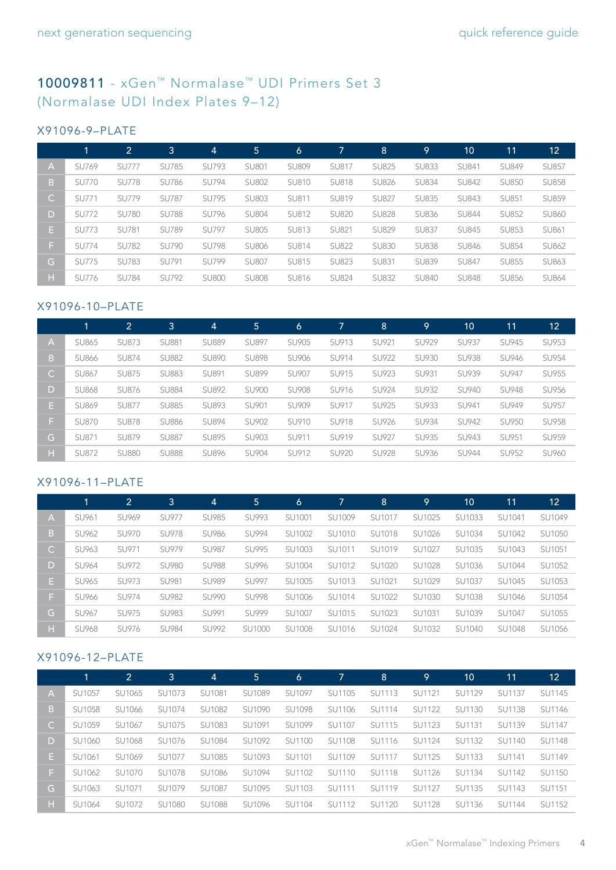### [10009811](https://www.idtdna.com/site/order/stock/partnbr/10009811) - xGen™ Normalase™ UDI Primers Set 3 (Normalase UDI Index Plates 9–12)

#### X91096-9–PLATE

|              | 1            | 2            | 3            | $\overline{A}$ | 5            | 6            | 7            | 8            | 9            | 10           | 11           | 12           |
|--------------|--------------|--------------|--------------|----------------|--------------|--------------|--------------|--------------|--------------|--------------|--------------|--------------|
| A            | SU769        | <b>SU777</b> | <b>SU785</b> | <b>SU793</b>   | <b>SU801</b> | <b>SU809</b> | SU817        | <b>SU825</b> | <b>SU833</b> | SU841        | <b>SU849</b> | <b>SU857</b> |
| B.           | <b>SU770</b> | <b>SU778</b> | <b>SU786</b> | <b>SU794</b>   | <b>SU802</b> | SU810        | <b>SU818</b> | <b>SU826</b> | <b>SU834</b> | <b>SU842</b> | <b>SU850</b> | <b>SU858</b> |
| $\mathsf{C}$ | SU771        | <b>SU779</b> | <b>SU787</b> | <b>SU795</b>   | <b>SU803</b> | SU811        | SU819        | <b>SU827</b> | <b>SU835</b> | <b>SU843</b> | SU851        | <b>SU859</b> |
| D            | <b>SU772</b> | <b>SU780</b> | <b>SU788</b> | SU796          | <b>SU804</b> | SU812        | <b>SU820</b> | <b>SU828</b> | <b>SU836</b> | <b>SU844</b> | <b>SU852</b> | <b>SU860</b> |
| E.           | <b>SU773</b> | <b>SU781</b> | <b>SU789</b> | <b>SU797</b>   | <b>SU805</b> | SU813        | SU821        | <b>SU829</b> | <b>SU837</b> | <b>SU845</b> | <b>SU853</b> | SU861        |
| E.           | <b>SU774</b> | <b>SU782</b> | <b>SU790</b> | <b>SU798</b>   | <b>SU806</b> | SU814        | <b>SU822</b> | <b>SU830</b> | <b>SU838</b> | <b>SU846</b> | <b>SU854</b> | <b>SU862</b> |
| G            | <b>SU775</b> | <b>SU783</b> | SU791        | <b>SU799</b>   | <b>SU807</b> | SU815        | <b>SU823</b> | <b>SU831</b> | <b>SU839</b> | <b>SU847</b> | <b>SU855</b> | SU863        |
| н            | SU776        | <b>SU784</b> | <b>SU792</b> | <b>SU800</b>   | <b>SU808</b> | SU816        | <b>SU824</b> | <b>SU832</b> | <b>SU840</b> | <b>SU848</b> | <b>SU856</b> | <b>SU864</b> |

#### X91096-10–PLATE

|    |              | 2            | 3            | 4            | 5            | 6            | 7            | 8            | 9            | 10           | 11           | 12           |
|----|--------------|--------------|--------------|--------------|--------------|--------------|--------------|--------------|--------------|--------------|--------------|--------------|
| А  | <b>SU865</b> | <b>SU873</b> | <b>SU881</b> | <b>SU889</b> | <b>SU897</b> | <b>SU905</b> | SU913        | SU921        | SU929        | <b>SU937</b> | <b>SU945</b> | SU953        |
| B. | <b>SU866</b> | <b>SU874</b> | <b>SU882</b> | <b>SU890</b> | <b>SU898</b> | SU906        | SU914        | <b>SU922</b> | <b>SU930</b> | <b>SU938</b> | <b>SU946</b> | SU954        |
| C. | <b>SU867</b> | <b>SU875</b> | <b>SU883</b> | SU891        | <b>SU899</b> | <b>SU907</b> | SU915        | SU923        | SU931        | SU939        | <b>SU947</b> | SU955        |
| D  | <b>SU868</b> | SU876        | <b>SU884</b> | <b>SU892</b> | <b>SU900</b> | <b>SU908</b> | SU916        | SU924        | SU932        | <b>SU940</b> | <b>SU948</b> | SU956        |
| Е. | <b>SU869</b> | <b>SU877</b> | <b>SU885</b> | <b>SU893</b> | SU901        | SU909        | SU917        | <b>SU925</b> | SU933        | SU941        | <b>SU949</b> | <b>SU957</b> |
| F. | <b>SU870</b> | <b>SU878</b> | <b>SU886</b> | <b>SU894</b> | SU902        | SU910        | SU918        | SU926        | SU934        | <b>SU942</b> | <b>SU950</b> | <b>SU958</b> |
| G  | SU871        | <b>SU879</b> | <b>SU887</b> | <b>SU895</b> | SU903        | SU911        | SU919        | <b>SU927</b> | <b>SU935</b> | <b>SU943</b> | <b>SU951</b> | <b>SU959</b> |
| н  | <b>SU872</b> | <b>SU880</b> | <b>SU888</b> | <b>SU896</b> | SU904        | SU912        | <b>SU920</b> | <b>SU928</b> | SU936        | <b>SU944</b> | SU952        | SU960        |

#### X91096-11–PLATE

|              | 1            | $\mathbf{2}^{\prime}$ | 3            | 4            | 5            | 6      | 7      | 8      | 9      | 10     | 11     | 12     |
|--------------|--------------|-----------------------|--------------|--------------|--------------|--------|--------|--------|--------|--------|--------|--------|
| A            | SU961        | SU969                 | SU977        | <b>SU985</b> | <b>SU993</b> | SU1001 | SU1009 | SU1017 | SU1025 | SU1033 | SU1041 | SU1049 |
| B.           | SU962        | <b>SU970</b>          | <b>SU978</b> | <b>SU986</b> | <b>SU994</b> | SU1002 | SU1010 | SU1018 | SU1026 | SU1034 | SU1042 | SU1050 |
| $\mathsf{C}$ | SU963        | SU971                 | SU979        | <b>SU987</b> | <b>SU995</b> | SU1003 | SU1011 | SU1019 | SU1027 | SU1035 | SU1043 | SU1051 |
| D            | SU964        | SU972                 | <b>SU980</b> | <b>SU988</b> | SU996        | SU1004 | SU1012 | SU1020 | SU1028 | SU1036 | SU1044 | SU1052 |
| Е.           | SU965        | SU973                 | SU981        | <b>SU989</b> | <b>SU997</b> | SU1005 | SU1013 | SU1021 | SU1029 | SU1037 | SU1045 | SU1053 |
| F.           | SU966        | SU974                 | <b>SU982</b> | <b>SU990</b> | <b>SU998</b> | SU1006 | SU1014 | SU1022 | SU1030 | SU1038 | SU1046 | SU1054 |
| G            | SU967        | SU975                 | <b>SU983</b> | SU991        | <b>SU999</b> | SU1007 | SU1015 | SU1023 | SU1031 | SU1039 | SU1047 | SU1055 |
| н            | <b>SU968</b> | SU976                 | <b>SU984</b> | <b>SU992</b> | SU1000       | SU1008 | SU1016 | SU1024 | SU1032 | SU1040 | SU1048 | SU1056 |

#### X91096-12–PLATE

|              |        | 2      | 3      | 4      | 5      | 6      | 7      | 8      | <u> 19</u>    | 10     | 11     | 12     |
|--------------|--------|--------|--------|--------|--------|--------|--------|--------|---------------|--------|--------|--------|
| A            | SU1057 | SU1065 | SU1073 | SU1081 | SU1089 | SU1097 | SU1105 | SU1113 | SU1121        | SU1129 | SU1137 | SU1145 |
| B            | SU1058 | SU1066 | SU1074 | SU1082 | SU1090 | SU1098 | SU1106 | SU1114 | SU1122        | SU1130 | SU1138 | SU1146 |
| $\mathsf{C}$ | SU1059 | SU1067 | SU1075 | SU1083 | SU1091 | SU1099 | SU1107 | SU1115 | SU1123        | SU1131 | SU1139 | SU1147 |
| D            | SU1060 | SU1068 | SU1076 | SU1084 | SU1092 | SU1100 | SU1108 | SU1116 | SU1124        | SU1132 | SU1140 | SU1148 |
| Е.           | SU1061 | SU1069 | SU1077 | SU1085 | SU1093 | SU1101 | SU1109 | SU1117 | SU1125        | SU1133 | SU1141 | SU1149 |
| F.           | SU1062 | SU1070 | SU1078 | SU1086 | SU1094 | SU1102 | SU1110 | SU1118 | SU1126        | SU1134 | SU1142 | SU1150 |
| G.           | SU1063 | SU1071 | SU1079 | SU1087 | SU1095 | SU1103 | SU1111 | SU1119 | SU1127        | SU1135 | SU1143 | SU1151 |
| H.           | SU1064 | SU1072 | SU1080 | SU1088 | SU1096 | SU1104 | SU1112 | SU1120 | <b>SU1128</b> | SU1136 | SU1144 | SU1152 |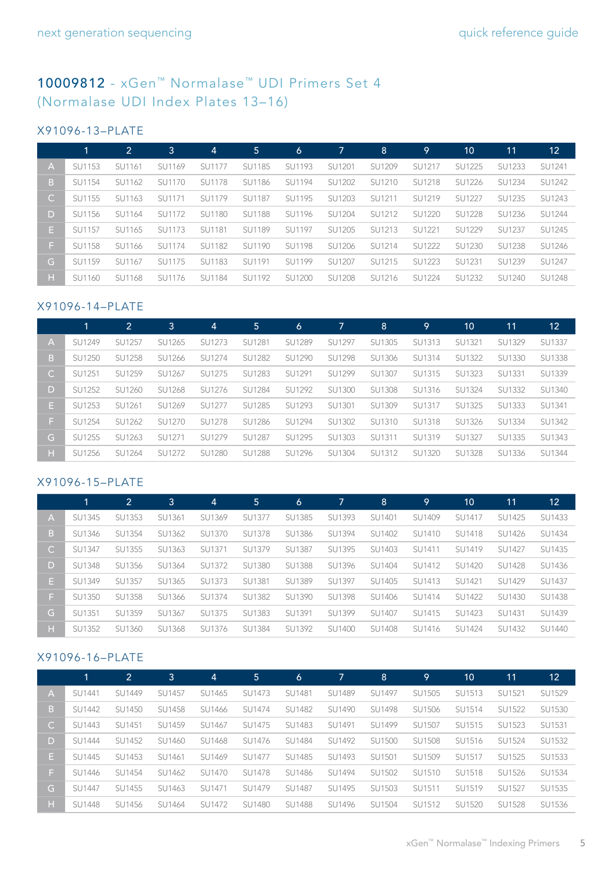### [10009812](https://www.idtdna.com/site/order/stock/partnbr/10009812) - xGen™ Normalase™ UDI Primers Set 4 (Normalase UDI Index Plates 13–16)

#### X91096-13–PLATE

|              | 1      | $\overline{2}$ | 3      | $\overline{4}$ | '5.           | 6      | 7             | 8      | <u> 19</u> | 10            | 11     | 12     |
|--------------|--------|----------------|--------|----------------|---------------|--------|---------------|--------|------------|---------------|--------|--------|
| A            | SU1153 | SU1161         | SU1169 | SU1177         | SU1185        | SU1193 | SU1201        | SU1209 | SU1217     | SU1225        | SU1233 | SU1241 |
| B.           | SU1154 | SU1162         | SU1170 | <b>SU1178</b>  | SU1186        | SU1194 | SU1202        | SU1210 | SU1218     | SU1226        | SU1234 | SU1242 |
| $\mathsf{C}$ | SU1155 | SU1163         | SU1171 | SU1179         | SU1187        | SU1195 | SU1203        | SU1211 | SU1219     | SU1227        | SU1235 | SU1243 |
| D            | SU1156 | SU1164         | SU1172 | SU1180         | <b>SU1188</b> | SU1196 | SU1204        | SU1212 | SU1220     | <b>SU1228</b> | SU1236 | SU1244 |
| Е.           | SU1157 | SU1165         | SU1173 | SU1181         | SU1189        | SU1197 | SU1205        | SU1213 | SU1221     | SU1229        | SU1237 | SU1245 |
| Œ.           | SU1158 | SU1166         | SU1174 | SU1182         | SU1190        | SU1198 | SU1206        | SU1214 | SU1222     | SU1230        | SU1238 | SU1246 |
| G            | SU1159 | SU1167         | SU1175 | SU1183         | SU1191        | SU1199 | SU1207        | SU1215 | SU1223     | SU1231        | SU1239 | SU1247 |
| н            | SU1160 | SU1168         | SU1176 | SU1184         | SU1192        | SU1200 | <b>SU1208</b> | SU1216 | SU1224     | SU1232        | SU1240 | SU1248 |

#### X91096-14–PLATE

|              |        | 2      | 3      | $\vert 4 \vert$ | 5             | 6      | 7             | 8      | 9             | 10            | 11     | 12     |
|--------------|--------|--------|--------|-----------------|---------------|--------|---------------|--------|---------------|---------------|--------|--------|
| Α            | SU1249 | SU1257 | SU1265 | SU1273          | SU1281        | SU1289 | SU1297        | SU1305 | SU1313        | SU1321        | SU1329 | SU1337 |
| B.           | SU1250 | SU1258 | SU1266 | SU1274          | SU1282        | SU1290 | <b>SU1298</b> | SU1306 | SU1314        | SU1322        | SU1330 | SU1338 |
| $\mathsf{C}$ | SU1251 | SU1259 | SU1267 | SU1275          | SU1283        | SU1291 | SU1299        | SU1307 | SU1315        | SU1323        | SU1331 | SU1339 |
| D            | SU1252 | SU1260 | SU1268 | SU1276          | SU1284        | SU1292 | SU1300        | SU1308 | SU1316        | SU1324        | SU1332 | SU1340 |
| Е.           | SU1253 | SU1261 | SU1269 | SU1277          | SU1285        | SU1293 | SU1301        | SU1309 | SU1317        | SU1325        | SU1333 | SU1341 |
| F.           | SU1254 | SU1262 | SU1270 | SU1278          | SU1286        | SU1294 | SU1302        | SU1310 | <b>SU1318</b> | SU1326        | SU1334 | SU1342 |
| G            | SU1255 | SU1263 | SU1271 | SU1279          | SU1287        | SU1295 | SU1303        | SU1311 | SU1319        | SU1327        | SU1335 | SU1343 |
| н.           | SU1256 | SU1264 | SU1272 | SU1280          | <b>SU1288</b> | SU1296 | SU1304        | SU1312 | SU1320        | <b>SU1328</b> | SU1336 | SU1344 |

#### X91096-15–PLATE

|              | 1             | 2      | 3             | 4      | 5      | 6             | 7             | 8      | $\overline{9}$ | 10     | 11            | 12     |
|--------------|---------------|--------|---------------|--------|--------|---------------|---------------|--------|----------------|--------|---------------|--------|
| IA.          | SU1345        | SU1353 | SU1361        | SU1369 | SU1377 | SU1385        | SU1393        | SU1401 | SU1409         | SU1417 | SU1425        | SU1433 |
| B.           | SU1346        | SU1354 | SU1362        | SU1370 | SU1378 | SU1386        | SU1394        | SU1402 | SU1410         | SU1418 | SU1426        | SU1434 |
| $\mathsf{C}$ | SU1347        | SU1355 | SU1363        | SU1371 | SU1379 | SU1387        | SU1395        | SU1403 | SU1411         | SU1419 | SU1427        | SU1435 |
| D            | <b>SU1348</b> | SU1356 | SU1364        | SU1372 | SU1380 | <b>SU1388</b> | SU1396        | SU1404 | SU1412         | SU1420 | <b>SU1428</b> | SU1436 |
| Е.           | SU1349        | SU1357 | SU1365        | SU1373 | SU1381 | SU1389        | SU1397        | SU1405 | SU1413         | SU1421 | SU1429        | SU1437 |
| F.           | SU1350        | SU1358 | SU1366        | SU1374 | SU1382 | SU1390        | <b>SU1398</b> | SU1406 | SU1414         | SU1422 | SU1430        | SU1438 |
| G.           | SU1351        | SU1359 | SU1367        | SU1375 | SU1383 | SU1391        | SU1399        | SU1407 | SU1415         | SU1423 | SU1431        | SU1439 |
| н            | SU1352        | SU1360 | <b>SU1368</b> | SU1376 | SU1384 | SU1392        | SU1400        | SU1408 | SU1416         | SU1424 | SU1432        | SU1440 |

#### X91096-16–PLATE

|              |               | 2      | 3      | 4      | 5 <sup>5</sup> | $\circ$       | 7      | 8      | .9     | 10     | 11     | $\overline{12}$ |
|--------------|---------------|--------|--------|--------|----------------|---------------|--------|--------|--------|--------|--------|-----------------|
| A            | SU1441        | SU1449 | SU1457 | SU1465 | SU1473         | SU1481        | SU1489 | SU1497 | SU1505 | SU1513 | SU1521 | SU1529          |
| B            | SU1442        | SU1450 | SU1458 | SU1466 | SU1474         | SU1482        | SU1490 | SU1498 | SU1506 | SU1514 | SU1522 | SU1530          |
| $\mathsf{C}$ | SU1443        | SU1451 | SU1459 | SU1467 | SU1475         | SU1483        | SU1491 | SU1499 | SU1507 | SU1515 | SU1523 | SU1531          |
| D.           | SU1444        | SU1452 | SU1460 | SU1468 | SU1476         | SU1484        | SU1492 | SU1500 | SU1508 | SU1516 | SU1524 | SU1532          |
| E.           | SU1445        | SU1453 | SU1461 | SU1469 | SU1477         | SU1485        | SU1493 | SU1501 | SU1509 | SU1517 | SU1525 | SU1533          |
| F.           | SU1446        | SU1454 | SU1462 | SU1470 | SU1478         | SU1486        | SU1494 | SU1502 | SU1510 | SU1518 | SU1526 | SU1534          |
| G.           | SU1447        | SU1455 | SU1463 | SU1471 | SU1479         | SU1487        | SU1495 | SU1503 | SU1511 | SU1519 | SU1527 | SU1535          |
| н.           | <b>SU1448</b> | SU1456 | SU1464 | SU1472 | SU1480         | <b>SU1488</b> | SU1496 | SU1504 | SU1512 | SU1520 | SU1528 | SU1536          |